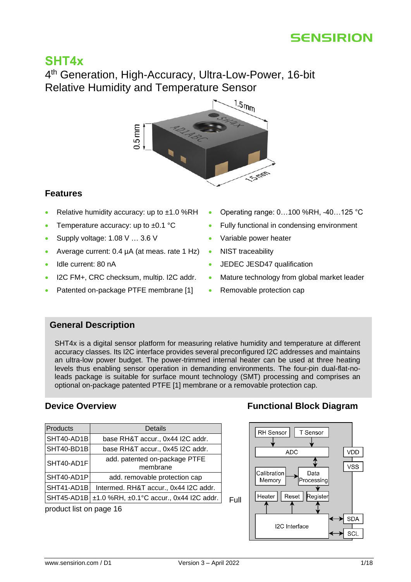

# **SHT4x**

4<sup>th</sup> Generation, High-Accuracy, Ultra-Low-Power, 16-bit Relative Humidity and Temperature Sensor



### **Features**

- Relative humidity accuracy: up to  $\pm 1.0$  %RH
- Temperature accuracy: up to  $\pm 0.1$  °C
- Supply voltage: 1.08 V … 3.6 V
- Average current: 0.4 µA (at meas. rate 1 Hz) NIST traceability
- Idle current: 80 nA
- I2C FM+, CRC checksum, multip. I2C addr.
- Patented on-package PTFE membrane [1]
- Operating range: 0…100 %RH, -40…125 °C
- Fully functional in condensing environment
- Variable power heater
- 
- JEDEC JESD47 qualification
- Mature technology from global market leader
- Removable protection cap

### **General Description**

SHT4x is a digital sensor platform for measuring relative humidity and temperature at different accuracy classes. Its I2C interface provides several preconfigured I2C addresses and maintains an ultra-low power budget. The power-trimmed internal heater can be used at three heating levels thus enabling sensor operation in demanding environments. The four-pin dual-flat-noleads package is suitable for surface mount technology (SMT) processing and comprises an optional on-package patented PTFE [1] membrane or a removable protection cap.

| <b>Products</b> | Details                                               |
|-----------------|-------------------------------------------------------|
| SHT40-AD1B      | base RH&T accur., 0x44 I2C addr.                      |
| SHT40-BD1B      | base RH&T accur., 0x45 I2C addr.                      |
| SHT40-AD1F      | add. patented on-package PTFE<br>membrane             |
| SHT40-AD1P      | add. removable protection cap                         |
| SHT41-AD1B      | Intermed. RH&T accur., 0x44 I2C addr.                 |
|                 | SHT45-AD1B ± 1.0 %RH, ± 0.1 °C accur., 0x44 I2C addr. |

product list on page [16](#page-15-0)

# **[Device Overview](#page-15-0) <b>Functional Block Diagram**

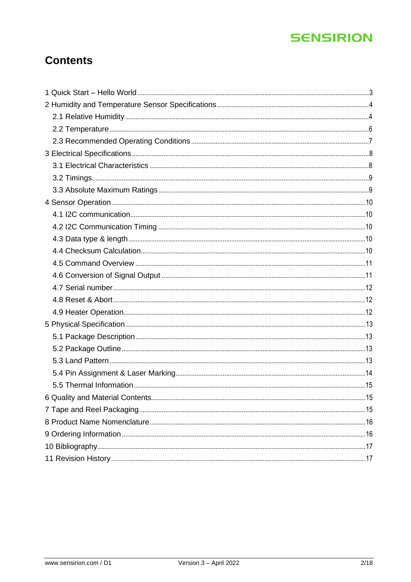# **Contents**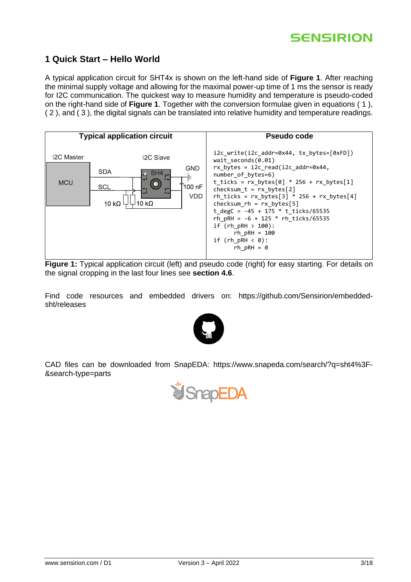### <span id="page-2-0"></span>**1 Quick Start – Hello World**

A typical application circuit for SHT4x is shown on the left-hand side of **[Figure 1](#page-2-1)**. After reaching the minimal supply voltage and allowing for the maximal power-up time of 1 ms the sensor is ready for I2C communication. The quickest way to measure humidity and temperature is pseudo-coded on the right-hand side of **[Figure 1](#page-2-1)**. Together with the conversion formulae given in equations [\( 1](#page-10-2) ), [\( 2](#page-10-3) ), and [\( 3](#page-10-4) ), the digital signals can be translated into relative humidity and temperature readings.



<span id="page-2-1"></span>**Figure 1:** Typical application circuit (left) and pseudo code (right) for easy starting. For details on the signal cropping in the last four lines see **section [4.6](#page-10-1)**.

Find code resources and embedded drivers on: https://github.com/Sensirion/embeddedsht/releases



CAD files can be downloaded from SnapEDA: [https://www.snapeda.com/search/?q=sht4%3F-](https://www.snapeda.com/search/?q=sht4%3F-&search-type=parts) [&search-type=parts](https://www.snapeda.com/search/?q=sht4%3F-&search-type=parts)

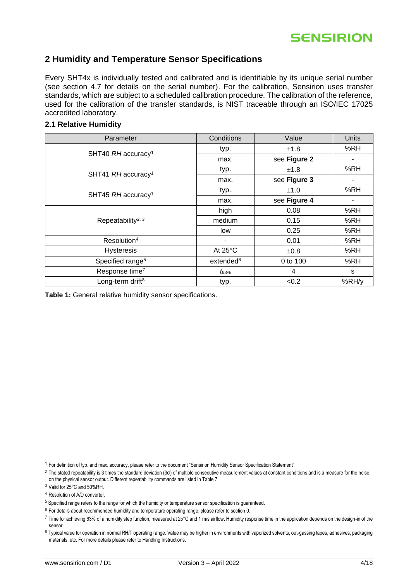### <span id="page-3-0"></span>**2 Humidity and Temperature Sensor Specifications**

Every SHT4x is individually tested and calibrated and is identifiable by its unique serial number (see section [4.7](#page-11-0) for details on the serial number). For the calibration, Sensirion uses transfer standards, which are subject to a scheduled calibration procedure. The calibration of the reference, used for the calibration of the transfer standards, is NIST traceable through an ISO/IEC 17025 accredited laboratory.

#### <span id="page-3-1"></span>**2.1 Relative Humidity**

<span id="page-3-2"></span>

| Parameter                        | Conditions            | Value        | Units |
|----------------------------------|-----------------------|--------------|-------|
|                                  | typ.                  | ±1.8         | %RH   |
| SHT40 RH accuracy <sup>1</sup>   | max.                  | see Figure 2 |       |
| SHT41 RH accuracy <sup>1</sup>   | typ.                  | ±1.8         | %RH   |
|                                  | max.                  | see Figure 3 |       |
| SHT45 $RH$ accuracy <sup>1</sup> | typ.                  | ±1.0         | %RH   |
|                                  | max.                  | see Figure 4 |       |
|                                  | high                  | 0.08         | %RH   |
| Repeatability <sup>2, 3</sup>    | medium                | 0.15         | %RH   |
|                                  | low                   | 0.25         | %RH   |
| Resolution <sup>4</sup>          |                       | 0.01         | %RH   |
| <b>Hysteresis</b>                | At 25°C               | $\pm 0.8$    | %RH   |
| Specified range <sup>5</sup>     | extended <sup>6</sup> | 0 to 100     | %RH   |
| Response time <sup>7</sup>       | $t_{63\%}$            | 4            | s     |
| Long-term drift <sup>8</sup>     | typ.                  | < 0.2        | %RH/y |

<span id="page-3-6"></span><span id="page-3-5"></span><span id="page-3-4"></span><span id="page-3-3"></span>**Table 1:** General relative humidity sensor specifications.

<sup>1</sup> For definition of typ. and max. accuracy, please refer to the document "Sensirion Humidity Sensor Specification Statement".

 $2$  The stated repeatability is 3 times the standard deviation (3 $\sigma$ ) of multiple consecutive measurement values at constant conditions and is a measure for the noise on the physical sensor output. Different repeatability commands are listed i[n Table 7.](#page-10-5)

<sup>3</sup> Valid for 25°C and 50%RH.

<sup>4</sup> Resolution of A/D converter.

<sup>5</sup> Specified range refers to the range for which the humidity or temperature sensor specification is guaranteed.

 $6$  For details about recommended humidity and temperature operating range, please refer to section [0.](#page-6-0)

 $^7$  Time for achieving 63% of a humidity step function, measured at 25°C and 1 m/s airflow. Humidity response time in the application depends on the design-in of the sensor.

8 Typical value for operation in normal RH/T operating range. Value may be higher in environments with vaporized solvents, out-gassing tapes, adhesives, packaging materials, etc. For more details please refer to Handling Instructions.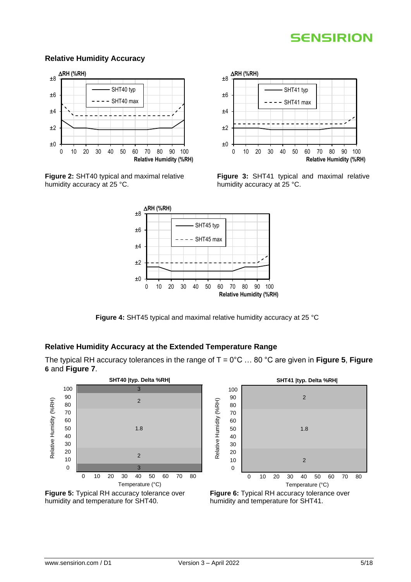#### **Relative Humidity Accuracy**



<span id="page-4-0"></span>**Figure 2:** SHT40 typical and maximal relative humidity accuracy at 25 °C.



<span id="page-4-1"></span>**Figure 3:** SHT41 typical and maximal relative humidity accuracy at 25 °C.



**Figure 4:** SHT45 typical and maximal relative humidity accuracy at 25 °C

### <span id="page-4-2"></span>**Relative Humidity Accuracy at the Extended Temperature Range**

The typical RH accuracy tolerances in the range of T = 0°C … 80 °C are given in **[Figure 5](#page-4-3)**, **[Figure](#page-4-4) [6](#page-4-4)** and **[Figure 7](#page-5-1)**.

<span id="page-4-3"></span>



**SHT41 |typ. Delta %RH|**

<span id="page-4-4"></span>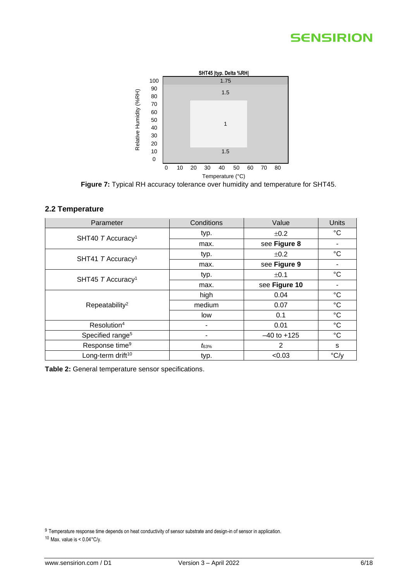

**Figure 7:** Typical RH accuracy tolerance over humidity and temperature for SHT45.

#### <span id="page-5-1"></span><span id="page-5-0"></span>**2.2 Temperature**

| Parameter                     | Conditions | Value           | Units           |
|-------------------------------|------------|-----------------|-----------------|
|                               | typ.       | ±0.2            | °C              |
| SHT40 T Accuracy <sup>1</sup> | max.       | see Figure 8    |                 |
|                               | typ.       | ±0.2            | $^{\circ}C$     |
| SHT41 T Accuracy <sup>1</sup> | max.       | see Figure 9    | ٠               |
|                               | typ.       | ±0.1            | $^{\circ}C$     |
| SHT45 T Accuracy <sup>1</sup> | max.       | see Figure 10   | ٠               |
|                               | high       | 0.04            | $^{\circ}C$     |
| Repeatability <sup>2</sup>    | medium     | 0.07            | $\rm ^{\circ}C$ |
|                               | low        | 0.1             | $\rm ^{\circ}C$ |
| Resolution <sup>4</sup>       | ۰          | 0.01            | $^{\circ}C$     |
| Specified range <sup>5</sup>  |            | $-40$ to $+125$ | $^{\circ}C$     |
| Response time <sup>9</sup>    | $t_{63\%}$ | 2               | s               |
| Long-term drift <sup>10</sup> | typ.       | < 0.03          | $\degree$ C/y   |

**Table 2:** General temperature sensor specifications.

<sup>9</sup> Temperature response time depends on heat conductivity of sensor substrate and design-in of sensor in application.

 $10$  Max. value is <  $0.04$ °C/y.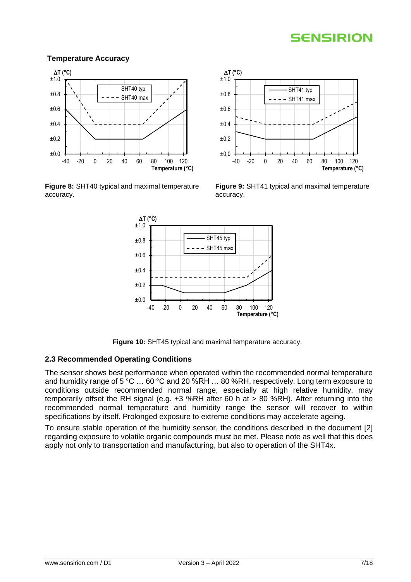#### **Temperature Accuracy**

<span id="page-6-0"></span>

<span id="page-6-1"></span>**Figure 8:** SHT40 typical and maximal temperature accuracy.



<span id="page-6-2"></span>**Figure 9:** SHT41 typical and maximal temperature accuracy.



**Figure 10:** SHT45 typical and maximal temperature accuracy.

#### <span id="page-6-3"></span>**2.3 Recommended Operating Conditions**

The sensor shows best performance when operated within the recommended normal temperature and humidity range of 5 °C ... 60 °C and 20 %RH ... 80 %RH, respectively. Long term exposure to conditions outside recommended normal range, especially at high relative humidity, may temporarily offset the RH signal (e.g. +3 %RH after 60 h at > 80 %RH). After returning into the recommended normal temperature and humidity range the sensor will recover to within specifications by itself. Prolonged exposure to extreme conditions may accelerate ageing.

To ensure stable operation of the humidity sensor, the conditions described in the document [2] regarding exposure to volatile organic compounds must be met. Please note as well that this does apply not only to transportation and manufacturing, but also to operation of the SHT4x.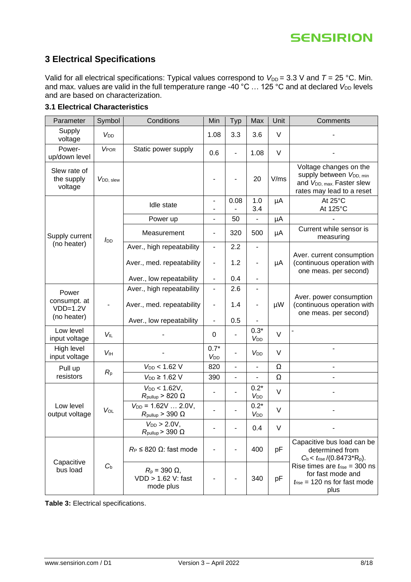### <span id="page-7-0"></span>**3 Electrical Specifications**

Valid for all electrical specifications: Typical values correspond to  $V_{DD} = 3.3$  V and  $T = 25$  °C. Min. and max. values are valid in the full temperature range -40 °C ... 125 °C and at declared *V*<sub>DD</sub> levels and are based on characterization.

| Parameter                             | Symbol                 | Conditions                                                  | Min                                                     | Typ                          | Max                       | Unit   | Comments                                                                                                                             |
|---------------------------------------|------------------------|-------------------------------------------------------------|---------------------------------------------------------|------------------------------|---------------------------|--------|--------------------------------------------------------------------------------------------------------------------------------------|
| Supply<br>voltage                     | V <sub>DD</sub>        |                                                             | 1.08                                                    | 3.3                          | 3.6                       | $\vee$ |                                                                                                                                      |
| Power-<br>up/down level               | <b>VPOR</b>            | Static power supply                                         | 0.6                                                     | L,                           | 1.08                      | $\vee$ |                                                                                                                                      |
| Slew rate of<br>the supply<br>voltage | V <sub>DD</sub> , slew |                                                             |                                                         |                              | 20                        | V/ms   | Voltage changes on the<br>supply between V <sub>DD, min</sub><br>and V <sub>DD, max</sub> . Faster slew<br>rates may lead to a reset |
|                                       |                        | Idle state                                                  | ۰<br>$\overline{\phantom{a}}$                           | 0.08                         | 1.0<br>3.4                | μA     | At 25°C<br>At 125°C                                                                                                                  |
|                                       |                        | Power up                                                    | $\overline{\phantom{0}}$                                | 50                           |                           | μA     |                                                                                                                                      |
| Supply current                        | <b>J</b> <sub>DD</sub> | Measurement                                                 | $\overline{\phantom{a}}$                                | 320                          | 500                       | μA     | Current while sensor is<br>measuring                                                                                                 |
| (no heater)                           |                        | Aver., high repeatability                                   | $\blacksquare$                                          | 2.2                          | -                         |        |                                                                                                                                      |
|                                       |                        | Aver., med. repeatability                                   | $\overline{\phantom{0}}$                                | 1.2                          | $\overline{\phantom{a}}$  | μA     | Aver. current consumption<br>(continuous operation with<br>one meas. per second)                                                     |
|                                       |                        | Aver., low repeatability                                    | $\overline{\phantom{0}}$                                | 0.4                          | $\overline{\phantom{a}}$  |        |                                                                                                                                      |
| Power                                 |                        | Aver., high repeatability                                   | $\overline{\phantom{a}}$                                | 2.6                          |                           |        |                                                                                                                                      |
| consumpt. at<br>$VDD=1.2V$            |                        | Aver., med. repeatability                                   | $\qquad \qquad \blacksquare$                            | 1.4                          | $\blacksquare$            | μW     | Aver. power consumption<br>(continuous operation with<br>one meas. per second)                                                       |
| (no heater)                           |                        | Aver., low repeatability                                    | $\qquad \qquad \blacksquare$                            | 0.5                          |                           |        |                                                                                                                                      |
| Low level<br>input voltage            | <b>VIL</b>             |                                                             | 0                                                       |                              | $0.3*$<br>V <sub>DD</sub> | $\vee$ |                                                                                                                                      |
| High level<br>input voltage           | <b>V<sub>IH</sub></b>  |                                                             | $0.7*$<br>V <sub>DD</sub>                               | L,                           | <b>V</b> <sub>DD</sub>    | $\vee$ |                                                                                                                                      |
| Pull up                               |                        | $V_{DD}$ < 1.62 V                                           | 820                                                     | $\frac{1}{2}$                | $\blacksquare$            | Ω      | $\overline{\phantom{0}}$                                                                                                             |
| resistors                             | $R_{p}$                | $V_{DD} \geq 1.62$ V                                        | 390                                                     | $\qquad \qquad \blacksquare$ |                           | Ω      |                                                                                                                                      |
|                                       |                        | $V_{DD}$ < 1.62V,<br>$R_{\text{pullup}} > 820 \Omega$       | -                                                       |                              | $0.2*$<br>V <sub>DD</sub> | $\vee$ |                                                                                                                                      |
| Low level<br>output voltage           | VOL                    | $V_{DD} = 1.62V  2.0V,$<br>$R_{\text{pullup}} > 390 \Omega$ |                                                         |                              | $0.2*$<br>$V_{DD}$        | $\vee$ |                                                                                                                                      |
|                                       |                        | $V_{DD} > 2.0 V$ .<br>$R_{\text{pullup}}$ > 390 $\Omega$    |                                                         |                              | 0.4                       | v      |                                                                                                                                      |
| Capacitive<br>bus load                |                        | $R_P \leq 820 \Omega$ : fast mode                           |                                                         |                              | 400                       | pF     | Capacitive bus load can be<br>determined from<br>$C_b < t_{rise} / (0.8473 \cdot R_p).$                                              |
|                                       |                        | $C_{b}$                                                     | $R_p = 390 \Omega$ ,<br>VDD > 1.62 V: fast<br>mode plus |                              |                           | 340    | рF                                                                                                                                   |

#### <span id="page-7-1"></span>**3.1 Electrical Characteristics**

<span id="page-7-2"></span>**Table 3:** Electrical specifications.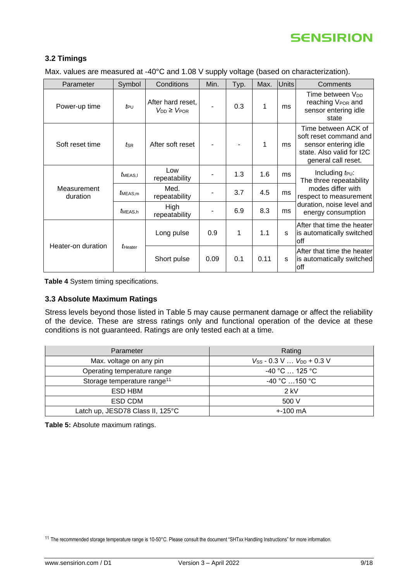

#### <span id="page-8-0"></span>**3.2 Timings**

Max. values are measured at -40°C and 1.08 V supply voltage (based on characterization).

| Parameter               | Symbol          | Conditions                                 | Min. | Typ. | Max. | <b>Units</b> | Comments                                                                                                                  |  |
|-------------------------|-----------------|--------------------------------------------|------|------|------|--------------|---------------------------------------------------------------------------------------------------------------------------|--|
| Power-up time           | $t_{\text{PU}}$ | After hard reset,<br>$V_{DD} \geq V_{POR}$ |      | 0.3  | 1    | ms           | Time between V <sub>DD</sub><br>reaching V <sub>POR</sub> and<br>sensor entering idle<br>state                            |  |
| Soft reset time         | $t_{\sf SR}$    | After soft reset                           |      |      | 1    | ms           | Time between ACK of<br>soft reset command and<br>sensor entering idle<br>state. Also valid for I2C<br>general call reset. |  |
| Measurement<br>duration | <i>t</i> MEAS,I | Low<br>repeatability                       |      | 1.3  | 1.6  | ms           | Including $t_{\text{PU}}$ :<br>The three repeatability                                                                    |  |
|                         | $t$ MEAS, m     | Med.<br>repeatability                      |      | 3.7  | 4.5  | ms           | modes differ with<br>respect to measurement                                                                               |  |
|                         | MEAS.h          | High<br>repeatability                      |      | 6.9  | 8.3  | ms           | duration, noise level and<br>energy consumption                                                                           |  |
| Heater-on duration      | tHeater         | Long pulse                                 | 0.9  | 1    | 1.1  | s            | After that time the heater<br>is automatically switched<br>off                                                            |  |
|                         |                 | Short pulse                                | 0.09 | 0.1  | 0.11 | s            | After that time the heater<br>is automatically switched<br>off                                                            |  |

<span id="page-8-4"></span>**Table 4** System timing specifications.

#### <span id="page-8-1"></span>**3.3 Absolute Maximum Ratings**

Stress levels beyond those listed in [Table 5](#page-8-3) may cause permanent damage or affect the reliability of the device. These are stress ratings only and functional operation of the device at these conditions is not guaranteed. Ratings are only tested each at a time.

| Parameter                               | Rating                                                |
|-----------------------------------------|-------------------------------------------------------|
| Max. voltage on any pin                 | $V_{SS}$ - 0.3 V $V_{DD}$ + 0.3 V                     |
| Operating temperature range             | $-40\degree$ C $\ldots$ 125 $\degree$ C $\phantom{1}$ |
| Storage temperature range <sup>11</sup> | $-40 °C$ 150 °C                                       |
| ESD HBM                                 | $2$ kV                                                |
| ESD CDM                                 | 500 V                                                 |
| Latch up, JESD78 Class II, 125°C        | $+100 \text{ mA}$                                     |

<span id="page-8-3"></span><span id="page-8-2"></span>**Table 5:** Absolute maximum ratings.

<sup>11</sup> The recommended storage temperature range is 10-50°C. Please consult the document "SHTxx Handling Instructions" for more information.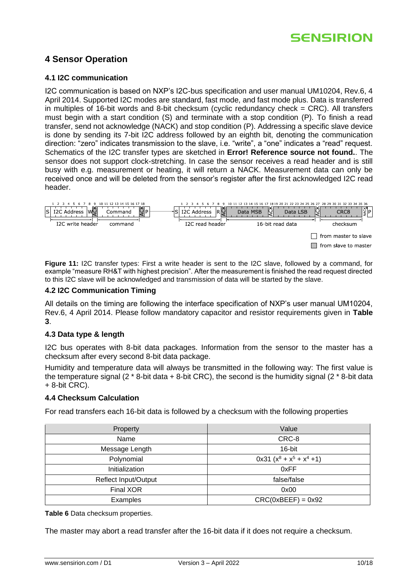### **4 Sensor Operation**

#### <span id="page-9-0"></span>**4.1 I2C communication**

I2C communication is based on NXP's I2C-bus specification and user manual UM10204, Rev.6, 4 April 2014. Supported I2C modes are standard, fast mode, and fast mode plus. Data is transferred in multiples of 16-bit words and 8-bit checksum (cyclic redundancy check  $=$  CRC). All transfers must begin with a start condition (S) and terminate with a stop condition (P). To finish a read transfer, send not acknowledge (NACK) and stop condition (P). Addressing a specific slave device is done by sending its 7-bit I2C address followed by an eighth bit, denoting the communication direction: "zero" indicates transmission to the slave, i.e. "write", a "one" indicates a "read" request. Schematics of the I2C transfer types are sketched in **Error! Reference source not found.**. The sensor does not support clock-stretching. In case the sensor receives a read header and is still busy with e.g. measurement or heating, it will return a NACK. Measurement data can only be received once and will be deleted from the sensor's register after the first acknowledged I2C read header.



**Figure 11:** I2C transfer types: First a write header is sent to the I2C slave, followed by a command, for example "measure RH&T with highest precision". After the measurement is finished the read request directed to this I2C slave will be acknowledged and transmission of data will be started by the slave.

#### <span id="page-9-1"></span>**4.2 I2C Communication Timing**

All details on the timing are following the interface specification of NXP's user manual UM10204, Rev.6, 4 April 2014. Please follow mandatory capacitor and resistor requirements given in **[Table](#page-7-2)  [3](#page-7-2)**.

#### <span id="page-9-2"></span>**4.3 Data type & length**

I2C bus operates with 8-bit data packages. Information from the sensor to the master has a checksum after every second 8-bit data package.

Humidity and temperature data will always be transmitted in the following way: The first value is the temperature signal (2  $*$  8-bit data + 8-bit CRC), the second is the humidity signal (2  $*$  8-bit data + 8-bit CRC).

#### <span id="page-9-3"></span>**4.4 Checksum Calculation**

For read transfers each 16-bit data is followed by a checksum with the following properties

| Property                    | Value                        |
|-----------------------------|------------------------------|
| Name                        | CRC-8                        |
| Message Length              | 16-bit                       |
| Polynomial                  | $0x31 (x^8 + x^5 + x^4 + 1)$ |
| Initialization              | 0xFF                         |
| <b>Reflect Input/Output</b> | false/false                  |
| Final XOR                   | 0x00                         |
| Examples                    | $CRC(0xBEEF) = 0x92$         |

**Table 6** Data checksum properties.

The master may abort a read transfer after the 16-bit data if it does not require a checksum.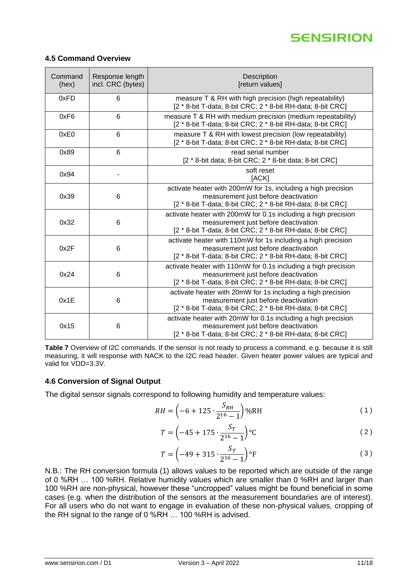

#### <span id="page-10-0"></span>**4.5 Command Overview**

| Command<br>(hex) | Response length<br>incl. CRC (bytes) | Description<br>[return values]                                                                                                                                        |
|------------------|--------------------------------------|-----------------------------------------------------------------------------------------------------------------------------------------------------------------------|
| 0xFD             | 6                                    | measure T & RH with high precision (high repeatability)<br>[2 * 8-bit T-data; 8-bit CRC; 2 * 8-bit RH-data; 8-bit CRC]                                                |
| 0xF6             | 6                                    | measure T & RH with medium precision (medium repeatability)<br>[2 * 8-bit T-data; 8-bit CRC; 2 * 8-bit RH-data; 8-bit CRC]                                            |
| 0xE0             | 6                                    | measure T & RH with lowest precision (low repeatability)<br>[2 * 8-bit T-data; 8-bit CRC; 2 * 8-bit RH-data; 8-bit CRC]                                               |
| 0x89             | 6                                    | read serial number<br>[2 * 8-bit data; 8-bit CRC; 2 * 8-bit data; 8-bit CRC]                                                                                          |
| 0x94             |                                      | soft reset<br>[ACK]                                                                                                                                                   |
| 0x39             | 6                                    | activate heater with 200mW for 1s, including a high precision<br>measurement just before deactivation<br>[2 * 8-bit T-data; 8-bit CRC; 2 * 8-bit RH-data; 8-bit CRC]  |
| 0x32             | 6                                    | activate heater with 200mW for 0.1s including a high precision<br>measurement just before deactivation<br>[2 * 8-bit T-data; 8-bit CRC; 2 * 8-bit RH-data; 8-bit CRC] |
| 0x2F             | 6                                    | activate heater with 110mW for 1s including a high precision<br>measurement just before deactivation<br>[2 * 8-bit T-data; 8-bit CRC; 2 * 8-bit RH-data; 8-bit CRC]   |
| 0x24             | 6                                    | activate heater with 110mW for 0.1s including a high precision<br>measurement just before deactivation<br>[2 * 8-bit T-data; 8-bit CRC; 2 * 8-bit RH-data; 8-bit CRC] |
| 0x1E             | 6                                    | activate heater with 20mW for 1s including a high precision<br>measurement just before deactivation<br>[2 * 8-bit T-data; 8-bit CRC; 2 * 8-bit RH-data; 8-bit CRC]    |
| 0x15             | 6                                    | activate heater with 20mW for 0.1s including a high precision<br>measurement just before deactivation<br>[2 * 8-bit T-data; 8-bit CRC; 2 * 8-bit RH-data; 8-bit CRC]  |

<span id="page-10-5"></span>**Table 7** Overview of I2C commands. If the sensor is not ready to process a command, e.g. because it is still measuring, it will response with NACK to the I2C read header. Given heater power values are typical and valid for VDD=3.3V.

#### <span id="page-10-1"></span>**4.6 Conversion of Signal Output**

The digital sensor signals correspond to following humidity and temperature values:

$$
RH = \left(-6 + 125 \cdot \frac{S_{RH}}{2^{16} - 1}\right) \% RH
$$
 (1)

<span id="page-10-3"></span><span id="page-10-2"></span>
$$
T = \left(-45 + 175 \cdot \frac{S_T}{2^{16} - 1}\right) \,^{\circ}\mathrm{C}
$$
 (2)

<span id="page-10-4"></span>
$$
T = \left(-49 + 315 \cdot \frac{S_T}{2^{16} - 1}\right) \, \text{°F} \tag{3}
$$

N.B.: The RH conversion formula (1) allows values to be reported which are outside of the range of 0 %RH … 100 %RH. Relative humidity values which are smaller than 0 %RH and larger than 100 %RH are non-physical, however these "uncropped" values might be found beneficial in some cases (e.g. when the distribution of the sensors at the measurement boundaries are of interest). For all users who do not want to engage in evaluation of these non-physical values, cropping of the RH signal to the range of 0 %RH … 100 %RH is advised.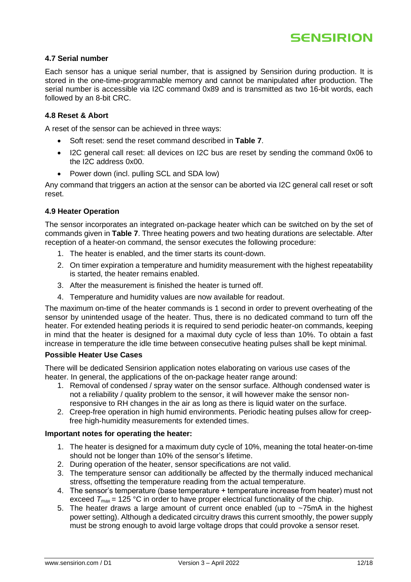

#### <span id="page-11-0"></span>**4.7 Serial number**

Each sensor has a unique serial number, that is assigned by Sensirion during production. It is stored in the one-time-programmable memory and cannot be manipulated after production. The serial number is accessible via I2C command 0x89 and is transmitted as two 16-bit words, each followed by an 8-bit CRC.

#### <span id="page-11-1"></span>**4.8 Reset & Abort**

A reset of the sensor can be achieved in three ways:

- Soft reset: send the reset command described in **[Table 7](#page-10-5)**.
- I2C general call reset: all devices on I2C bus are reset by sending the command 0x06 to the I2C address 0x00.
- Power down (incl. pulling SCL and SDA low)

Any command that triggers an action at the sensor can be aborted via I2C general call reset or soft reset.

#### <span id="page-11-2"></span>**4.9 Heater Operation**

The sensor incorporates an integrated on-package heater which can be switched on by the set of commands given in **[Table 7](#page-10-5)**. Three heating powers and two heating durations are selectable. After reception of a heater-on command, the sensor executes the following procedure:

- 1. The heater is enabled, and the timer starts its count-down.
- 2. On timer expiration a temperature and humidity measurement with the highest repeatability is started, the heater remains enabled.
- 3. After the measurement is finished the heater is turned off.
- 4. Temperature and humidity values are now available for readout.

The maximum on-time of the heater commands is 1 second in order to prevent overheating of the sensor by unintended usage of the heater. Thus, there is no dedicated command to turn off the heater. For extended heating periods it is required to send periodic heater-on commands, keeping in mind that the heater is designed for a maximal duty cycle of less than 10%. To obtain a fast increase in temperature the idle time between consecutive heating pulses shall be kept minimal.

#### **Possible Heater Use Cases**

There will be dedicated Sensirion application notes elaborating on various use cases of the heater. In general, the applications of the on-package heater range around:

- 1. Removal of condensed / spray water on the sensor surface. Although condensed water is not a reliability / quality problem to the sensor, it will however make the sensor nonresponsive to RH changes in the air as long as there is liquid water on the surface.
- 2. Creep-free operation in high humid environments. Periodic heating pulses allow for creepfree high-humidity measurements for extended times.

#### **Important notes for operating the heater:**

- 1. The heater is designed for a maximum duty cycle of 10%, meaning the total heater-on-time should not be longer than 10% of the sensor's lifetime.
- 2. During operation of the heater, sensor specifications are not valid.
- 3. The temperature sensor can additionally be affected by the thermally induced mechanical stress, offsetting the temperature reading from the actual temperature.
- 4. The sensor's temperature (base temperature + temperature increase from heater) must not exceed  $T_{\text{max}}$  = 125 °C in order to have proper electrical functionality of the chip.
- 5. The heater draws a large amount of current once enabled (up to  $\sim$ 75mA in the highest power setting). Although a dedicated circuitry draws this current smoothly, the power supply must be strong enough to avoid large voltage drops that could provoke a sensor reset.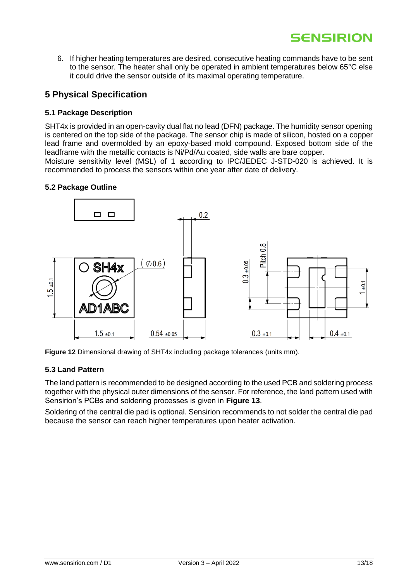6. If higher heating temperatures are desired, consecutive heating commands have to be sent to the sensor. The heater shall only be operated in ambient temperatures below 65°C else it could drive the sensor outside of its maximal operating temperature.

### <span id="page-12-0"></span>**5 Physical Specification**

#### <span id="page-12-1"></span>**5.1 Package Description**

SHT4x is provided in an open-cavity dual flat no lead (DFN) package. The humidity sensor opening is centered on the top side of the package. The sensor chip is made of silicon, hosted on a copper lead frame and overmolded by an epoxy-based mold compound. Exposed bottom side of the leadframe with the metallic contacts is Ni/Pd/Au coated, side walls are bare copper.

Moisture sensitivity level (MSL) of 1 according to IPC/JEDEC J-STD-020 is achieved. It is recommended to process the sensors within one year after date of delivery.

#### <span id="page-12-2"></span>**5.2 Package Outline**



**Figure 12** Dimensional drawing of SHT4x including package tolerances (units mm).

#### <span id="page-12-3"></span>**5.3 Land Pattern**

The land pattern is recommended to be designed according to the used PCB and soldering process together with the physical outer dimensions of the sensor. For reference, the land pattern used with Sensirion's PCBs and soldering processes is given in **[Figure 13](#page-13-1)**.

Soldering of the central die pad is optional. Sensirion recommends to not solder the central die pad because the sensor can reach higher temperatures upon heater activation.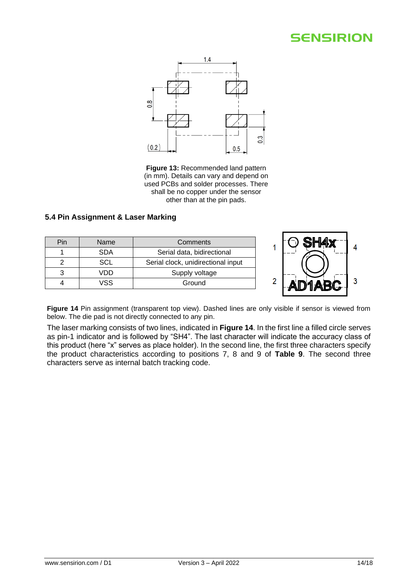

<span id="page-13-1"></span>**Figure 13:** Recommended land pattern (in mm). Details can vary and depend on used PCBs and solder processes. There shall be no copper under the sensor other than at the pin pads.

#### <span id="page-13-0"></span>**5.4 Pin Assignment & Laser Marking**



<span id="page-13-2"></span>Figure 14 Pin assignment (transparent top view). Dashed lines are only visible if sensor is viewed from below. The die pad is not directly connected to any pin.

The laser marking consists of two lines, indicated in **[Figure 14](#page-13-2)**. In the first line a filled circle serves as pin-1 indicator and is followed by "SH4". The last character will indicate the accuracy class of this product (here "x" serves as place holder). In the second line, the first three characters specify the product characteristics according to positions 7, 8 and 9 of **[Table 9](#page-15-3)**. The second three characters serve as internal batch tracking code.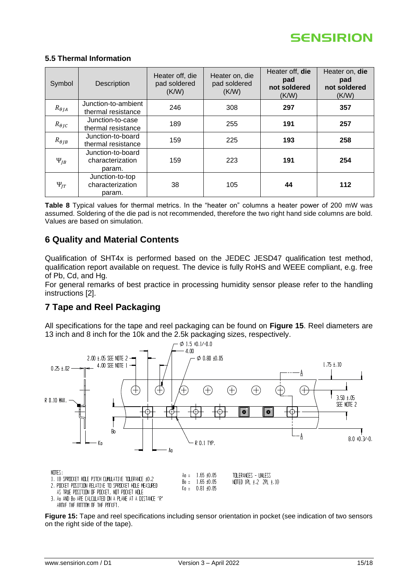

#### <span id="page-14-0"></span>**5.5 Thermal Information**

| Symbol                     | Description                                     | Heater off, die<br>pad soldered<br>(K/W) | Heater on, die<br>pad soldered<br>(K/W) | Heater off, die<br>pad<br>not soldered<br>(K/W) | Heater on, die<br>pad<br>not soldered<br>(K/W) |
|----------------------------|-------------------------------------------------|------------------------------------------|-----------------------------------------|-------------------------------------------------|------------------------------------------------|
| $R_{\theta}$ JA            | Junction-to-ambient<br>thermal resistance       | 246                                      | 308                                     | 297                                             | 357                                            |
| $R_{\theta I C}$           | Junction-to-case<br>thermal resistance          | 189                                      | 255                                     | 191                                             | 257                                            |
| $R_{\theta}$ <sub>JB</sub> | Junction-to-board<br>thermal resistance         | 159                                      | 225                                     | 193                                             | 258                                            |
| $\Psi_{IB}$                | Junction-to-board<br>characterization<br>param. | 159                                      | 223                                     | 191                                             | 254                                            |
| $\Psi_{IT}$                | Junction-to-top<br>characterization<br>param.   | 38                                       | 105                                     | 44                                              | 112                                            |

**Table 8** Typical values for thermal metrics. In the "heater on" columns a heater power of 200 mW was assumed. Soldering of the die pad is not recommended, therefore the two right hand side columns are bold. Values are based on simulation.

### <span id="page-14-1"></span>**6 Quality and Material Contents**

Qualification of SHT4x is performed based on the JEDEC JESD47 qualification test method, qualification report available on request. The device is fully RoHS and WEEE compliant, e.g. free of Pb, Cd, and Hg.

For general remarks of best practice in processing humidity sensor please refer to the handling instructions [2].

### <span id="page-14-2"></span>**7 Tape and Reel Packaging**

All specifications for the tape and reel packaging can be found on **[Figure 15](#page-14-3)**. Reel diameters are 13 inch and 8 inch for the 10k and the 2.5k packaging sizes, respectively.



<span id="page-14-3"></span>**Figure 15:** Tape and reel specifications including sensor orientation in pocket (see indication of two sensors on the right side of the tape).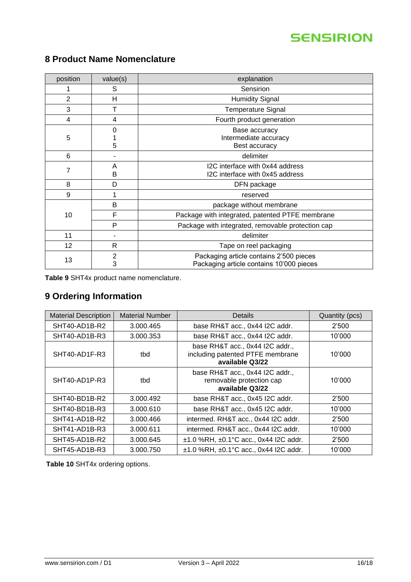| position | value(s)      | explanation                                                                         |
|----------|---------------|-------------------------------------------------------------------------------------|
|          | S             | <b>Sensirion</b>                                                                    |
| 2        | н             | <b>Humidity Signal</b>                                                              |
| 3        |               | <b>Temperature Signal</b>                                                           |
| 4        | 4             | Fourth product generation                                                           |
| 5        | 0<br>5        | Base accuracy<br>Intermediate accuracy<br>Best accuracy                             |
| 6        |               | delimiter                                                                           |
| 7        | A<br>B        | I2C interface with 0x44 address<br>I2C interface with 0x45 address                  |
| 8        | D             | DFN package                                                                         |
| 9        |               | reserved                                                                            |
|          | B             | package without membrane                                                            |
| 10       | F             | Package with integrated, patented PTFE membrane                                     |
|          | P             | Package with integrated, removable protection cap                                   |
| 11       |               | delimiter                                                                           |
| 12       | R.            | Tape on reel packaging                                                              |
| 13       | $\frac{2}{3}$ | Packaging article contains 2'500 pieces<br>Packaging article contains 10'000 pieces |

# <span id="page-15-0"></span>**8 Product Name Nomenclature**

<span id="page-15-3"></span>**Table 9** SHT4x product name nomenclature.

# <span id="page-15-1"></span>**9 Ordering Information**

| <b>Material Description</b> | <b>Material Number</b> | Details                                                                                | Quantity (pcs) |
|-----------------------------|------------------------|----------------------------------------------------------------------------------------|----------------|
| SHT40-AD1B-R2               | 3.000.465              | base RH&T acc., 0x44 I2C addr.                                                         | 2'500          |
| SHT40-AD1B-R3               | 3.000.353              | base RH&T acc., 0x44 I2C addr.                                                         | 10'000         |
| SHT40-AD1F-R3               | tbd                    | base RH&T acc., 0x44 I2C addr.,<br>including patented PTFE membrane<br>available Q3/22 | 10'000         |
| SHT40-AD1P-R3               | tbd                    | base RH&T acc., 0x44 I2C addr.,<br>removable protection cap<br>available Q3/22         | 10'000         |
| SHT40-BD1B-R2               | 3.000.492              | base RH&T acc., 0x45 I2C addr.                                                         | 2'500          |
| SHT40-BD1B-R3               | 3.000.610              | base RH&T acc., 0x45 I2C addr.                                                         | 10'000         |
| SHT41-AD1B-R2               | 3.000.466              | intermed. RH&T acc., 0x44 I2C addr.                                                    | 2'500          |
| SHT41-AD1B-R3               | 3.000.611              | intermed. RH&T acc., 0x44 I2C addr.                                                    | 10'000         |
| SHT45-AD1B-R2               | 3.000.645              | $±1.0$ %RH, $±0.1$ °C acc., 0x44 I2C addr.                                             | 2'500          |
| SHT45-AD1B-R3               | 3.000.750              | $±1.0$ %RH, $±0.1$ °C acc., 0x44 I2C addr.                                             | 10'000         |

<span id="page-15-4"></span><span id="page-15-2"></span>**Table 10** SHT4x ordering options.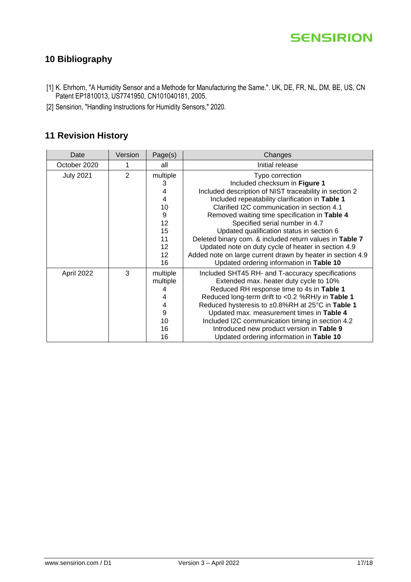

# **10 Bibliography**

- [1] K. Ehrhorn, "A Humidity Sensor and a Methode for Manufacturing the Same.". UK, DE, FR, NL, DM, BE, US, CN Patent EP1810013, US7741950, CN101040181, 2005.
- [2] Sensirion, "Handling Instructions for Humidity Sensors," 2020.

### <span id="page-16-0"></span>**11 Revision History**

| Date             | Version        | Page(s)         | Changes                                                    |
|------------------|----------------|-----------------|------------------------------------------------------------|
| October 2020     | 1              | all             | Initial release                                            |
| <b>July 2021</b> | $\overline{2}$ | multiple        | Typo correction                                            |
|                  |                | 3               | Included checksum in Figure 1                              |
|                  |                | 4               | Included description of NIST traceability in section 2     |
|                  |                | 4               | Included repeatability clarification in Table 1            |
|                  |                | 10              | Clarified I2C communication in section 4.1                 |
|                  |                | 9               | Removed waiting time specification in Table 4              |
|                  |                | 12              | Specified serial number in 4.7                             |
|                  |                | 15              | Updated qualification status in section 6                  |
|                  |                | 11              | Deleted binary com. & included return values in Table 7    |
|                  |                | 12 <sup>2</sup> | Updated note on duty cycle of heater in section 4.9        |
|                  |                | 12 <sub>2</sub> | Added note on large current drawn by heater in section 4.9 |
|                  |                | 16              | Updated ordering information in Table 10                   |
| April 2022       | 3              | multiple        | Included SHT45 RH- and T-accuracy specifications           |
|                  |                | multiple        | Extended max. heater duty cycle to 10%                     |
|                  |                | 4               | Reduced RH response time to 4s in Table 1                  |
|                  |                | 4               | Reduced long-term drift to <0.2 %RH/y in Table 1           |
|                  |                | 4               | Reduced hysteresis to ±0.8%RH at 25°C in Table 1           |
|                  |                | 9               | Updated max. measurement times in Table 4                  |
|                  |                | 10              | Included I2C communication timing in section 4.2           |
|                  |                | 16              | Introduced new product version in Table 9                  |
|                  |                | 16              | Updated ordering information in Table 10                   |